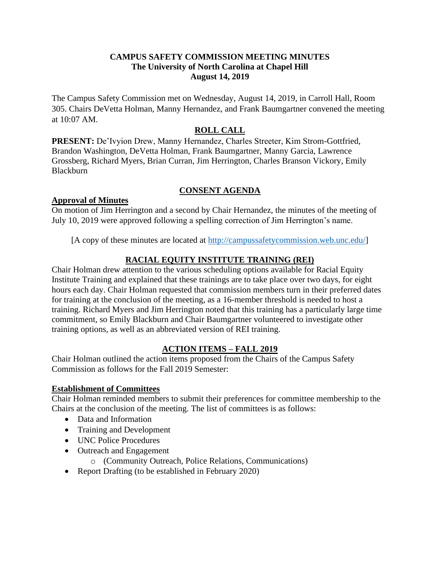#### **CAMPUS SAFETY COMMISSION MEETING MINUTES The University of North Carolina at Chapel Hill August 14, 2019**

The Campus Safety Commission met on Wednesday, August 14, 2019, in Carroll Hall, Room 305. Chairs DeVetta Holman, Manny Hernandez, and Frank Baumgartner convened the meeting at 10:07 AM.

# **ROLL CALL**

**PRESENT:** De'Ivyion Drew, Manny Hernandez, Charles Streeter, Kim Strom-Gottfried, Brandon Washington, DeVetta Holman, Frank Baumgartner, Manny Garcia, Lawrence Grossberg, Richard Myers, Brian Curran, Jim Herrington, Charles Branson Vickory, Emily Blackburn

## **CONSENT AGENDA**

### **Approval of Minutes**

On motion of Jim Herrington and a second by Chair Hernandez, the minutes of the meeting of July 10, 2019 were approved following a spelling correction of Jim Herrington's name.

[A copy of these minutes are located at [http://campussafetycommission.web.unc.edu/\]](http://campussafetycommission.web.unc.edu/)

## **RACIAL EQUITY INSTITUTE TRAINING (REI)**

Chair Holman drew attention to the various scheduling options available for Racial Equity Institute Training and explained that these trainings are to take place over two days, for eight hours each day. Chair Holman requested that commission members turn in their preferred dates for training at the conclusion of the meeting, as a 16-member threshold is needed to host a training. Richard Myers and Jim Herrington noted that this training has a particularly large time commitment, so Emily Blackburn and Chair Baumgartner volunteered to investigate other training options, as well as an abbreviated version of REI training.

## **ACTION ITEMS – FALL 2019**

Chair Holman outlined the action items proposed from the Chairs of the Campus Safety Commission as follows for the Fall 2019 Semester:

### **Establishment of Committees**

Chair Holman reminded members to submit their preferences for committee membership to the Chairs at the conclusion of the meeting. The list of committees is as follows:

- Data and Information
- Training and Development
- UNC Police Procedures
- Outreach and Engagement
	- o (Community Outreach, Police Relations, Communications)
- Report Drafting (to be established in February 2020)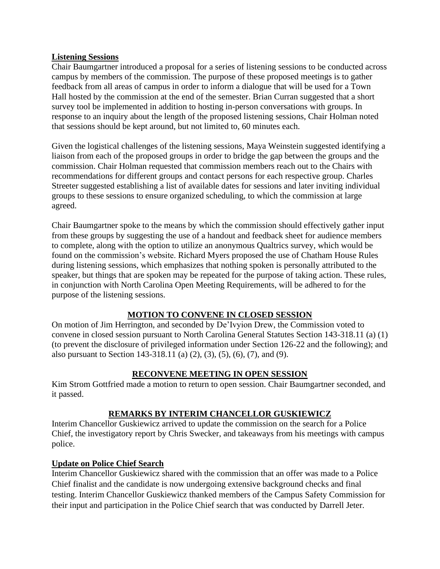#### **Listening Sessions**

Chair Baumgartner introduced a proposal for a series of listening sessions to be conducted across campus by members of the commission. The purpose of these proposed meetings is to gather feedback from all areas of campus in order to inform a dialogue that will be used for a Town Hall hosted by the commission at the end of the semester. Brian Curran suggested that a short survey tool be implemented in addition to hosting in-person conversations with groups. In response to an inquiry about the length of the proposed listening sessions, Chair Holman noted that sessions should be kept around, but not limited to, 60 minutes each.

Given the logistical challenges of the listening sessions, Maya Weinstein suggested identifying a liaison from each of the proposed groups in order to bridge the gap between the groups and the commission. Chair Holman requested that commission members reach out to the Chairs with recommendations for different groups and contact persons for each respective group. Charles Streeter suggested establishing a list of available dates for sessions and later inviting individual groups to these sessions to ensure organized scheduling, to which the commission at large agreed.

Chair Baumgartner spoke to the means by which the commission should effectively gather input from these groups by suggesting the use of a handout and feedback sheet for audience members to complete, along with the option to utilize an anonymous Qualtrics survey, which would be found on the commission's website. Richard Myers proposed the use of Chatham House Rules during listening sessions, which emphasizes that nothing spoken is personally attributed to the speaker, but things that are spoken may be repeated for the purpose of taking action. These rules, in conjunction with North Carolina Open Meeting Requirements, will be adhered to for the purpose of the listening sessions.

### **MOTION TO CONVENE IN CLOSED SESSION**

On motion of Jim Herrington, and seconded by De'Ivyion Drew, the Commission voted to convene in closed session pursuant to North Carolina General Statutes Section 143-318.11 (a) (1) (to prevent the disclosure of privileged information under Section 126-22 and the following); and also pursuant to Section 143-318.11 (a) (2), (3), (5), (6), (7), and (9).

### **RECONVENE MEETING IN OPEN SESSION**

Kim Strom Gottfried made a motion to return to open session. Chair Baumgartner seconded, and it passed.

### **REMARKS BY INTERIM CHANCELLOR GUSKIEWICZ**

Interim Chancellor Guskiewicz arrived to update the commission on the search for a Police Chief, the investigatory report by Chris Swecker, and takeaways from his meetings with campus police.

### **Update on Police Chief Search**

Interim Chancellor Guskiewicz shared with the commission that an offer was made to a Police Chief finalist and the candidate is now undergoing extensive background checks and final testing. Interim Chancellor Guskiewicz thanked members of the Campus Safety Commission for their input and participation in the Police Chief search that was conducted by Darrell Jeter.